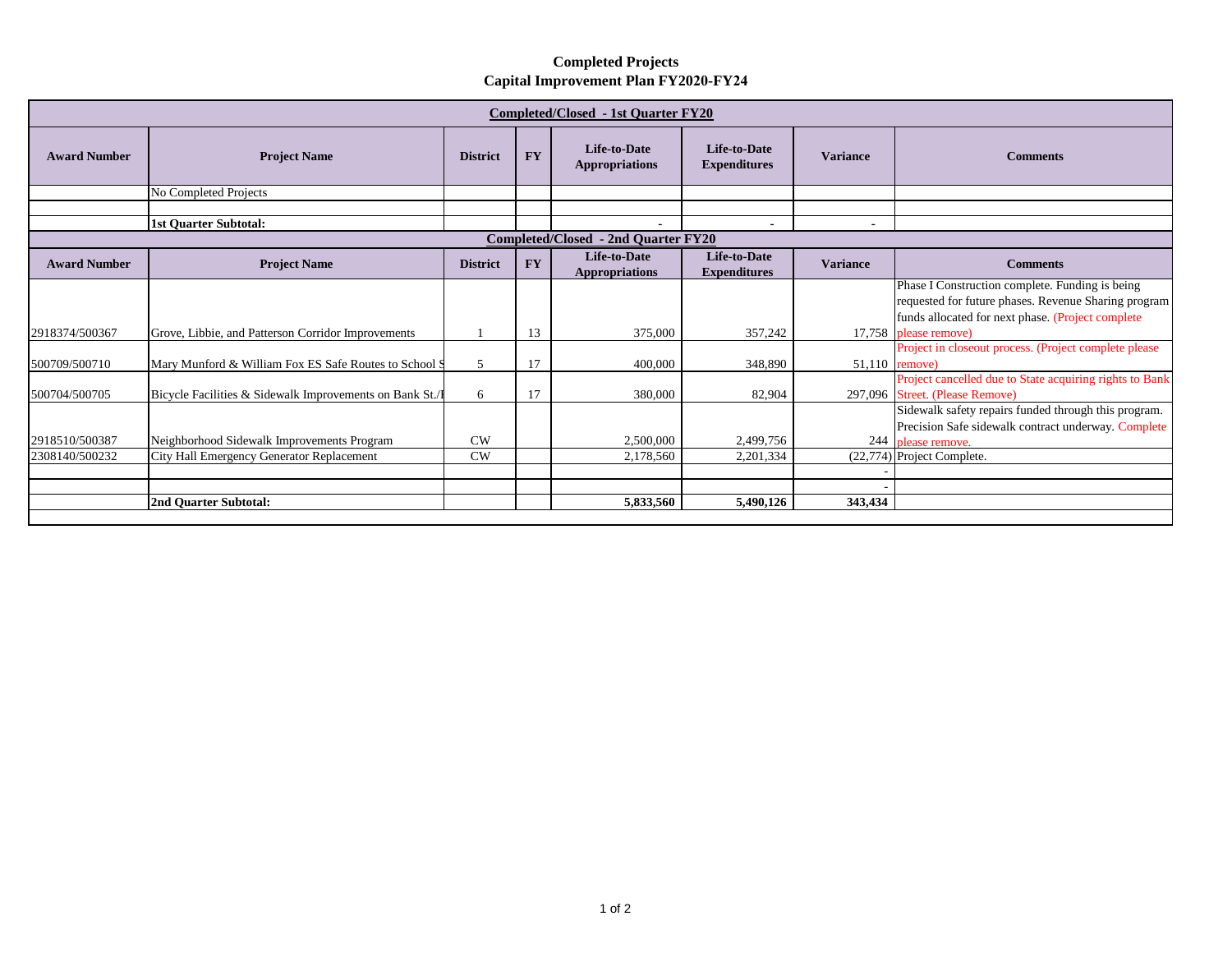## **Completed Projects Capital Improvement Plan FY2020-FY24**

| <b>Completed/Closed - 1st Quarter FY20</b> |                                                         |                 |           |                                              |                                            |                 |                                                                                                                                                              |  |  |  |  |
|--------------------------------------------|---------------------------------------------------------|-----------------|-----------|----------------------------------------------|--------------------------------------------|-----------------|--------------------------------------------------------------------------------------------------------------------------------------------------------------|--|--|--|--|
| <b>Award Number</b>                        | <b>Project Name</b>                                     | <b>District</b> | <b>FY</b> | <b>Life-to-Date</b><br><b>Appropriations</b> | <b>Life-to-Date</b><br><b>Expenditures</b> | <b>Variance</b> | <b>Comments</b>                                                                                                                                              |  |  |  |  |
|                                            | No Completed Projects                                   |                 |           |                                              |                                            |                 |                                                                                                                                                              |  |  |  |  |
|                                            |                                                         |                 |           |                                              |                                            |                 |                                                                                                                                                              |  |  |  |  |
|                                            | <b>1st Quarter Subtotal:</b>                            |                 |           |                                              |                                            | $\blacksquare$  |                                                                                                                                                              |  |  |  |  |
| <b>Completed/Closed - 2nd Quarter FY20</b> |                                                         |                 |           |                                              |                                            |                 |                                                                                                                                                              |  |  |  |  |
| <b>Award Number</b>                        | <b>Project Name</b>                                     | <b>District</b> | <b>FY</b> | <b>Life-to-Date</b><br><b>Appropriations</b> | <b>Life-to-Date</b><br><b>Expenditures</b> | <b>Variance</b> | <b>Comments</b>                                                                                                                                              |  |  |  |  |
|                                            |                                                         |                 |           |                                              |                                            |                 | Phase I Construction complete. Funding is being<br>requested for future phases. Revenue Sharing program<br>funds allocated for next phase. (Project complete |  |  |  |  |
| 2918374/500367                             | Grove, Libbie, and Patterson Corridor Improvements      |                 | 13        | 375,000                                      | 357,242                                    |                 | 17,758 please remove)                                                                                                                                        |  |  |  |  |
| 500709/500710                              | Mary Munford & William Fox ES Safe Routes to School S   | 5               | 17        | 400,000                                      | 348,890                                    |                 | Project in closeout process. (Project complete please<br>51,110 remove)                                                                                      |  |  |  |  |
| 500704/500705                              | Bicycle Facilities & Sidewalk Improvements on Bank St./ | 6               | 17        | 380,000                                      | 82,904                                     |                 | Project cancelled due to State acquiring rights to Bank<br>297,096 Street. (Please Remove)                                                                   |  |  |  |  |
| 2918510/500387                             | Neighborhood Sidewalk Improvements Program              | $\rm CW$        |           | 2,500,000                                    | 2.499.756                                  |                 | Sidewalk safety repairs funded through this program.<br>Precision Safe sidewalk contract underway. Complete<br>244 please remove.                            |  |  |  |  |
| 2308140/500232                             | City Hall Emergency Generator Replacement               | CW              |           | 2,178,560                                    | 2,201,334                                  |                 | (22,774) Project Complete.                                                                                                                                   |  |  |  |  |
|                                            |                                                         |                 |           |                                              |                                            |                 |                                                                                                                                                              |  |  |  |  |
|                                            | 2nd Quarter Subtotal:                                   |                 |           | 5,833,560                                    | 5.490.126                                  | 343,434         |                                                                                                                                                              |  |  |  |  |